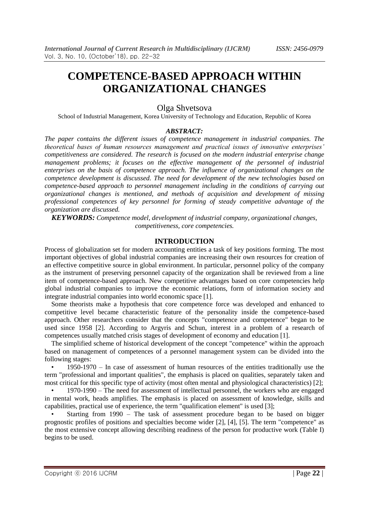# **COMPETENCE-BASED APPROACH WITHIN ORGANIZATIONAL CHANGES**

# Olga Shvetsova

School of Industrial Management, Korea University of Technology and Education, Republic of Korea

#### *ABSTRACT:*

*The paper contains the different issues of competence management in industrial companies. The theoretical bases of human resources management and practical issues of innovative enterprises' competitiveness are considered. The research is focused on the modern industrial enterprise change management problems; it focuses on the effective management of the personnel of industrial enterprises on the basis of competence approach. The influence of organizational changes on the competence development is discussed. The need for development of the new technologies based on competence-based approach to personnel management including in the conditions of carrying out organizational changes is mentioned, and methods of acquisition and development of missing professional competences of key personnel for forming of steady competitive advantage of the organization are discussed.*

*KEYWORDS: Competence model, development of industrial company, organizational changes, competitiveness, core competencies.*

#### **INTRODUCTION**

Process of globalization set for modern accounting entities a task of key positions forming. The most important objectives of global industrial companies are increasing their own resources for creation of an effective competitive source in global environment. In particular, personnel policy of the company as the instrument of preserving personnel capacity of the organization shall be reviewed from a line item of competence-based approach. New competitive advantages based on core competencies help global industrial companies to improve the economic relations, form of information society and integrate industrial companies into world economic space [1].

Some theorists make a hypothesis that core competence force was developed and enhanced to competitive level became characteristic feature of the personality inside the competence-based approach. Other researchers consider that the concepts "competence and competence" began to be used since 1958 [2]. According to Argyris and Schun, interest in a problem of a research of competences usually matched crisis stages of development of economy and education [1].

The simplified scheme of historical development of the concept "competence" within the approach based on management of competences of a personnel management system can be divided into the following stages:

• 1950-1970 – In case of assessment of human resources of the entities traditionally use the term "professional and important qualities", the emphasis is placed on qualities, separately taken and most critical for this specific type of activity (most often mental and physiological characteristics) [2];

• 1970-1990 – The need for assessment of intellectual personnel, the workers who are engaged in mental work, heads amplifies. The emphasis is placed on assessment of knowledge, skills and capabilities, practical use of experience, the term "qualification element" is used [3];

Starting from 1990 – The task of assessment procedure began to be based on bigger prognostic profiles of positions and specialties become wider [2], [4], [5]. The term "competence" as the most extensive concept allowing describing readiness of the person for productive work (Table I) begins to be used.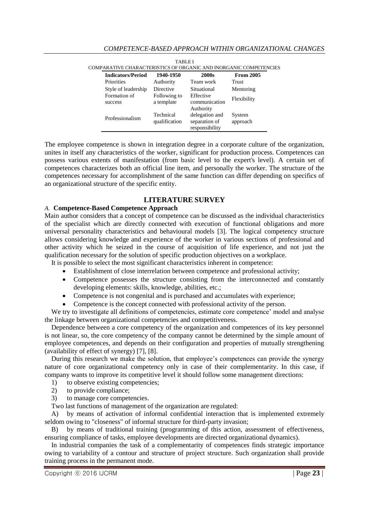| <b>Indicators/Period</b> | 1940-1950                  | 2000s                                             | <b>From 2005</b>   |
|--------------------------|----------------------------|---------------------------------------------------|--------------------|
| Priorities               | Authority                  | Team work                                         | Trust              |
| Style of leadership      | Directive                  | Situational                                       | Mentoring          |
| Formation of<br>success  | Following to<br>a template | Effective<br>communication<br>Authority           | Flexibility        |
| Professionalism          | Technical<br>qualification | delegation and<br>separation of<br>responsibility | System<br>approach |

| TABLEI                                                            |  |
|-------------------------------------------------------------------|--|
|                                                                   |  |
| COMPARATIVE CHARACTERISTICS OF ORGANIC AND INORGANIC COMPETENCIES |  |

The employee competence is shown in integration degree in a corporate culture of the organization, unites in itself any characteristics of the worker, significant for production process. Competences can possess various extents of manifestation (from basic level to the expert's level). A certain set of competences characterizes both an official line item, and personally the worker. The structure of the competences necessary for accomplishment of the same function can differ depending on specifics of an organizational structure of the specific entity.

# **LITERATURE SURVEY**

#### *A.* **Competence-Based Competence Approach**

Main author considers that a concept of competence can be discussed as the individual characteristics of the specialist which are directly connected with execution of functional obligations and more universal personality characteristics and behavioural models [3]. The logical competency structure allows considering knowledge and experience of the worker in various sections of professional and other activity which he seized in the course of acquisition of life experience, and not just the qualification necessary for the solution of specific production objectives on a workplace.

It is possible to select the most significant characteristics inherent in competence:

- Establishment of close interrelation between competence and professional activity;
- Competence possesses the structure consisting from the interconnected and constantly developing elements: skills, knowledge, abilities, etc.;
- Competence is not congenital and is purchased and accumulates with experience;
- Competence is the concept connected with professional activity of the person.

We try to investigate all definitions of competencies, estimate core competence' model and analyse the linkage between organizational competencies and competitiveness.

Dependence between a core competency of the organization and competences of its key personnel is not linear, so, the core competency of the company cannot be determined by the simple amount of employee competences, and depends on their configuration and properties of mutually strengthening (availability of effect of synergy) [7], [8].

During this research we make the solution, that employee's competences can provide the synergy nature of core organizational competency only in case of their complementarity. In this case, if company wants to improve its competitive level it should follow some management directions:

- 1) to observe existing competencies;
- 2) to provide compliance;
- 3) to manage core competencies.

Two last functions of management of the organization are regulated:

A) by means of activation of informal confidential interaction that is implemented extremely seldom owing to "closeness" of informal structure for third-party invasion;

B) by means of traditional training (programming of this action, assessment of effectiveness, ensuring compliance of tasks, employee developments are directed organizational dynamics).

In industrial companies the task of a complementarity of competences finds strategic importance owing to variability of a contour and structure of project structure. Such organization shall provide training process in the permanent mode.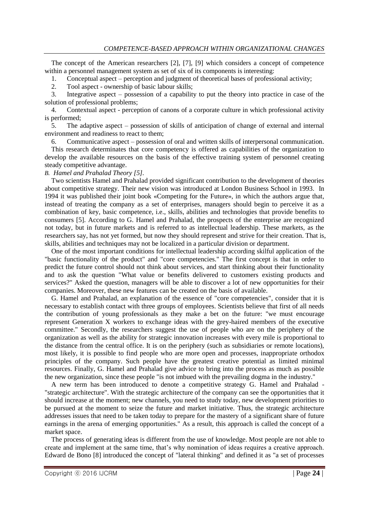The concept of the American researchers [2], [7], [9] which considers a concept of competence within a personnel management system as set of six of its components is interesting:

1. Conceptual aspect – perception and judgment of theoretical bases of professional activity;

2. Tool aspect - ownership of basic labour skills;

3. Integrative aspect – possession of a capability to put the theory into practice in case of the solution of professional problems;

4. Contextual aspect - perception of canons of a corporate culture in which professional activity is performed;

5. The adaptive aspect – possession of skills of anticipation of change of external and internal environment and readiness to react to them;

6. Communicative aspect – possession of oral and written skills of interpersonal communication.

This research determinates that core competency is offered as capabilities of the organization to develop the available resources on the basis of the effective training system of personnel creating steady competitive advantage.

#### *B. Hamel and Prahalad Theory [5].*

Two scientists Hamel and Prahalad provided significant contribution to the development of theories about competitive strategy. Their new vision was introduced at London Business School in 1993. In 1994 it was published their joint book «Competing for the Future», in which the authors argue that, instead of treating the company as a set of enterprises, managers should begin to perceive it as a combination of key, basic competence, i.e., skills, abilities and technologies that provide benefits to consumers [5]. According to G. Hamel and Prahalad, the prospects of the enterprise are recognized not today, but in future markets and is referred to as intellectual leadership. These markets, as the researchers say, has not yet formed, but now they should represent and strive for their creation. That is, skills, abilities and techniques may not be localized in a particular division or department.

One of the most important conditions for intellectual leadership according skilful application of the "basic functionality of the product" and "core competencies." The first concept is that in order to predict the future control should not think about services, and start thinking about their functionality and to ask the question "What value or benefits delivered to customers existing products and services?" Asked the question, managers will be able to discover a lot of new opportunities for their companies. Moreover, these new features can be created on the basis of available.

G. Hamel and Prahalad, an explanation of the essence of "core competencies", consider that it is necessary to establish contact with three groups of employees. Scientists believe that first of all needs the contribution of young professionals as they make a bet on the future: "we must encourage represent Generation X workers to exchange ideas with the grey-haired members of the executive committee." Secondly, the researchers suggest the use of people who are on the periphery of the organization as well as the ability for strategic innovation increases with every mile is proportional to the distance from the central office. It is on the periphery (such as subsidiaries or remote locations), most likely, it is possible to find people who are more open and processes, inappropriate orthodox principles of the company. Such people have the greatest creative potential as limited minimal resources. Finally, G. Hamel and Prahalad give advice to bring into the process as much as possible the new organization, since these people "is not imbued with the prevailing dogma in the industry."

A new term has been introduced to denote a competitive strategy G. Hamel and Prahalad - "strategic architecture". With the strategic architecture of the company can see the opportunities that it should increase at the moment; new channels, you need to study today, new development priorities to be pursued at the moment to seize the future and market initiative. Thus, the strategic architecture addresses issues that need to be taken today to prepare for the mastery of a significant share of future earnings in the arena of emerging opportunities." As a result, this approach is called the concept of a market space.

The process of generating ideas is different from the use of knowledge. Most people are not able to create and implement at the same time, that's why nomination of ideas requires a creative approach. Edward de Bono [8] introduced the concept of "lateral thinking" and defined it as "a set of processes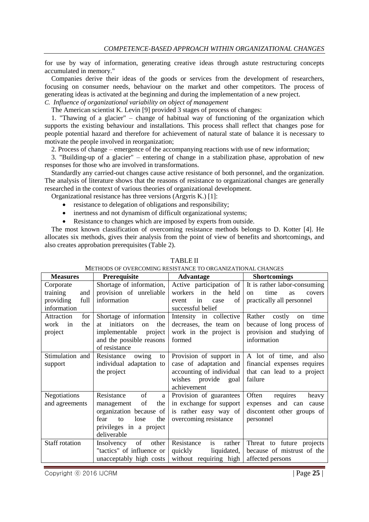for use by way of information, generating creative ideas through astute restructuring concepts accumulated in memory."

Companies derive their ideas of the goods or services from the development of researchers, focusing on consumer needs, behaviour on the market and other competitors. The process of generating ideas is activated at the beginning and during the implementation of a new project.

*C. Influence of organizational variability on object of management*

The American scientist K. Levin [9] provided 3 stages of process of changes:

1. "Thawing of a glacier" – change of habitual way of functioning of the organization which supports the existing behaviour and installations. This process shall reflect that changes pose for people potential hazard and therefore for achievement of natural state of balance it is necessary to motivate the people involved in reorganization;

2. Process of change – emergence of the accompanying reactions with use of new information;

3. "Building-up of a glacier" – entering of change in a stabilization phase, approbation of new responses for those who are involved in transformations.

Standardly any carried-out changes cause active resistance of both personnel, and the organization. The analysis of literature shows that the reasons of resistance to organizational changes are generally researched in the context of various theories of organizational development.

Organizational resistance has three versions (Argyris K.) [1]:

- resistance to delegation of obligations and responsibility;
- inertness and not dynamism of difficult organizational systems;
- Resistance to changes which are imposed by experts from outside.

The most known classification of overcoming resistance methods belongs to D. Kotter [4]. He allocates six methods, gives their analysis from the point of view of benefits and shortcomings, and also creates approbation prerequisites (Table 2).

| <b>Measures</b>                                                  | Prerequisite                                                                                                                                                             | <b>Advantage</b>                                                                                                       | <b>Shortcomings</b>                                                                                                        |
|------------------------------------------------------------------|--------------------------------------------------------------------------------------------------------------------------------------------------------------------------|------------------------------------------------------------------------------------------------------------------------|----------------------------------------------------------------------------------------------------------------------------|
| Corporate<br>training<br>and<br>providing<br>full<br>information | Shortage of information,<br>provision of unreliable<br>information                                                                                                       | the<br>workers in<br>held<br>of<br>event<br>in<br>case<br>successful belief                                            | Active participation of   It is rather labor-consuming<br>time<br>as<br>$_{\rm on}$<br>covers<br>practically all personnel |
| Attraction<br>for<br>the<br>work<br>in<br>project                | Shortage of information<br>initiators<br>the<br>at<br><sub>on</sub><br>implementable<br>project<br>and the possible reasons<br>of resistance                             | Intensity in collective<br>decreases, the team on<br>work in the project is<br>formed                                  | Rather costly<br>time<br>on<br>because of long process of<br>provision and studying of<br>information                      |
| Stimulation and<br>support                                       | Resistance<br>owing<br>to<br>individual adaptation to<br>the project                                                                                                     | Provision of support in<br>case of adaptation and<br>accounting of individual<br>wishes provide<br>goal<br>achievement | A lot of time, and also<br>financial expenses requires<br>that can lead to a project<br>failure                            |
| Negotiations<br>and agreements                                   | Resistance<br>of<br>$\mathbf{a}$<br>the<br>of<br>management<br>organization because of<br>the<br>lose<br>fear<br>$\mathsf{to}$<br>privileges in a project<br>deliverable | Provision of guarantees<br>in exchange for support<br>is rather easy way of<br>overcoming resistance                   | requires<br>Often<br>heavy<br>expenses and can<br>cause<br>discontent other groups of<br>personnel                         |
| <b>Staff rotation</b>                                            | Insolvency<br>of<br>other<br>"tactics" of influence or<br>unacceptably high costs                                                                                        | Resistance<br>is<br>rather<br>quickly<br>liquidated,<br>without requiring high                                         | Threat to future projects<br>because of mistrust of the<br>affected persons                                                |

#### TABLE II

METHODS OF OVERCOMING RESISTANCE TO ORGANIZATIONAL CHANGES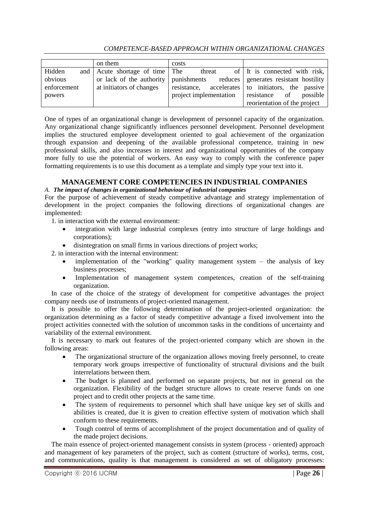# *COMPETENCE-BASED APPROACH WITHIN ORGANIZATIONAL CHANGES*

|             | on them                        | costs                  |                                                                                |
|-------------|--------------------------------|------------------------|--------------------------------------------------------------------------------|
| Hidden      | and Acute shortage of time The | threat                 | of It is connected with risk,                                                  |
| obvious     |                                |                        | or lack of the authority   punishments reduces   generates resistant hostility |
| enforcement | at initiators of changes       |                        | resistance, accelerates to initiators, the passive                             |
| powers      |                                | project implementation | possible<br>resistance<br>of                                                   |
|             |                                |                        | reorientation of the project                                                   |

One of types of an organizational change is development of personnel capacity of the organization. Any organizational change significantly influences personnel development. Personnel development implies the structured employee development oriented to goal achievement of the organization through expansion and deepening of the available professional competence, training in new professional skills, and also increases in interest and organizational opportunities of the company more fully to use the potential of workers. An easy way to comply with the conference paper formatting requirements is to use this document as a template and simply type your text into it.

# **MANAGEMENT CORE COMPETENCIES IN INDUSTRIAL COMPANIES**

#### *A. The impact of changes in organizational behaviour of industrial companies*

For the purpose of achievement of steady competitive advantage and strategy implementation of development in the project companies the following directions of organizational changes are implemented:

1. in interaction with the external environment:

- integration with large industrial complexes (entry into structure of large holdings and corporations);
- disintegration on small firms in various directions of project works;

2. in interaction with the internal environment:

- implementation of the "working" quality management system the analysis of key business processes;
- Implementation of management system competences, creation of the self-training organization.

In case of the choice of the strategy of development for competitive advantages the project company needs use of instruments of project-oriented management.

It is possible to offer the following determination of the project-oriented organization: the organization determining as a factor of steady competitive advantage a fixed involvement into the project activities connected with the solution of uncommon tasks in the conditions of uncertainty and variability of the external environment.

It is necessary to mark out features of the project-oriented company which are shown in the following areas:

- The organizational structure of the organization allows moving freely personnel, to create temporary work groups irrespective of functionality of structural divisions and the built interrelations between them.
- The budget is planned and performed on separate projects, but not in general on the organization. Flexibility of the budget structure allows to create reserve funds on one project and to credit other projects at the same time.
- The system of requirements to personnel which shall have unique key set of skills and abilities is created, due it is given to creation effective system of motivation which shall conform to these requirements.
- Tough control of terms of accomplishment of the project documentation and of quality of the made project decisions.

The main essence of project-oriented management consists in system (process - oriented) approach and management of key parameters of the project, such as content (structure of works), terms, cost, and communications, quality is that management is considered as set of obligatory processes: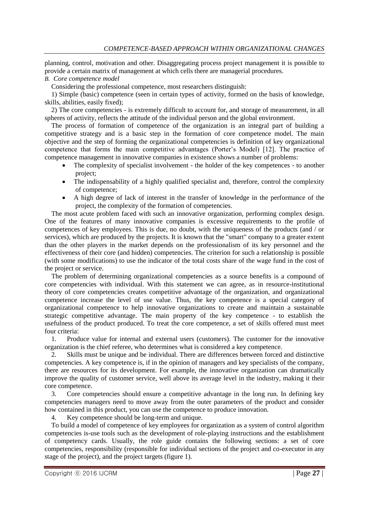planning, control, motivation and other. Disaggregating process project management it is possible to provide a certain matrix of management at which cells there are managerial procedures.

## *B. Core competence model*

Considering the professional competence, most researchers distinguish:

1) Simple (basic) competence (seen in certain types of activity, formed on the basis of knowledge, skills, abilities, easily fixed);

2) The core competencies - is extremely difficult to account for, and storage of measurement, in all spheres of activity, reflects the attitude of the individual person and the global environment.

The process of formation of competence of the organization is an integral part of building a competitive strategy and is a basic step in the formation of core competence model. The main objective and the step of forming the organizational competencies is definition of key organizational competence that forms the main competitive advantages (Porter's Model) [12]. The practice of competence management in innovative companies in existence shows a number of problems:

- The complexity of specialist involvement the holder of the key competences to another project;
- The indispensability of a highly qualified specialist and, therefore, control the complexity of competence;
- A high degree of lack of interest in the transfer of knowledge in the performance of the project, the complexity of the formation of competencies.

The most acute problem faced with such an innovative organization, performing complex design. One of the features of many innovative companies is excessive requirements to the profile of competences of key employees. This is due, no doubt, with the uniqueness of the products (and / or services), which are produced by the projects. It is known that the "smart" company to a greater extent than the other players in the market depends on the professionalism of its key personnel and the effectiveness of their core (and hidden) competencies. The criterion for such a relationship is possible (with some modifications) to use the indicator of the total costs share of the wage fund in the cost of the project or service.

The problem of determining organizational competencies as a source benefits is a compound of core competencies with individual. With this statement we can agree, as in resource-institutional theory of core competencies creates competitive advantage of the organization, and organizational competence increase the level of use value. Thus, the key competence is a special category of organizational competence to help innovative organizations to create and maintain a sustainable strategic competitive advantage. The main property of the key competence - to establish the usefulness of the product produced. To treat the core competence, a set of skills offered must meet four criteria:

1. Produce value for internal and external users (customers). The customer for the innovative organization is the chief referee, who determines what is considered a key competence.

2. Skills must be unique and be individual. There are differences between forced and distinctive competencies. A key competence is, if in the opinion of managers and key specialists of the company, there are resources for its development. For example, the innovative organization can dramatically improve the quality of customer service, well above its average level in the industry, making it their core competence.

3. Core competencies should ensure a competitive advantage in the long run. In defining key competencies managers need to move away from the outer parameters of the product and consider how contained in this product, you can use the competence to produce innovation.

4. Key competence should be long-term and unique.

To build a model of competence of key employees for organization as a system of control algorithm competencies is-use tools such as the development of role-playing instructions and the establishment of competency cards. Usually, the role guide contains the following sections: a set of core competencies, responsibility (responsible for individual sections of the project and co-executor in any stage of the project), and the project targets (figure 1).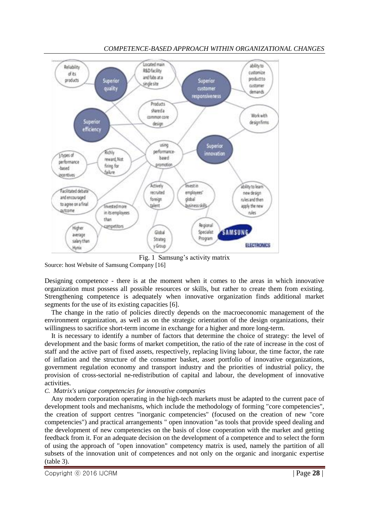

# *COMPETENCE-BASED APPROACH WITHIN ORGANIZATIONAL CHANGES*

Fig. 1 Samsung's activity matrix

Source: host Website of Samsung Company [16]

Designing competence - there is at the moment when it comes to the areas in which innovative organization must possess all possible resources or skills, but rather to create them from existing. Strengthening competence is adequately when innovative organization finds additional market segments for the use of its existing capacities [6].

The change in the ratio of policies directly depends on the macroeconomic management of the environment organization, as well as on the strategic orientation of the design organizations, their willingness to sacrifice short-term income in exchange for a higher and more long-term.

It is necessary to identify a number of factors that determine the choice of strategy: the level of development and the basic forms of market competition, the ratio of the rate of increase in the cost of staff and the active part of fixed assets, respectively, replacing living labour, the time factor, the rate of inflation and the structure of the consumer basket, asset portfolio of innovative organizations, government regulation economy and transport industry and the priorities of industrial policy, the provision of cross-sectorial ne-redistribution of capital and labour, the development of innovative activities.

#### *C. Matrix's unique competencies for innovative companies*

Any modern corporation operating in the high-tech markets must be adapted to the current pace of development tools and mechanisms, which include the methodology of forming "core competencies", the creation of support centres "inorganic competencies" (focused on the creation of new "core competencies") and practical arrangements " open innovation "as tools that provide speed dealing and the development of new competencies on the basis of close cooperation with the market and getting feedback from it. For an adequate decision on the development of a competence and to select the form of using the approach of "open innovation" competency matrix is used, namely the partition of all subsets of the innovation unit of competences and not only on the organic and inorganic expertise (table 3).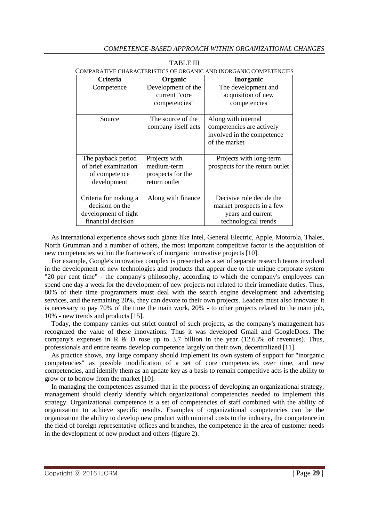| <b>Criteria</b>                                                                        | Organic                                                            | <b>Inorganic</b>                                                                                   |
|----------------------------------------------------------------------------------------|--------------------------------------------------------------------|----------------------------------------------------------------------------------------------------|
| Competence                                                                             | Development of the<br>current "core<br>competencies"               | The development and<br>acquisition of new<br>competencies                                          |
| Source                                                                                 | The source of the<br>company itself acts                           | Along with internal<br>competencies are actively<br>involved in the competence<br>of the market    |
| The payback period<br>of brief examination<br>of competence<br>development             | Projects with<br>medium-term<br>prospects for the<br>return outlet | Projects with long-term<br>prospects for the return outlet                                         |
| Criteria for making a<br>decision on the<br>development of tight<br>financial decision | Along with finance                                                 | Decisive role decide the<br>market prospects in a few<br>years and current<br>technological trends |

| <b>TABLE III</b>                                                  |
|-------------------------------------------------------------------|
| COMPARATIVE CHARACTERISTICS OF ORGANIC AND INORGANIC COMPETENCIES |

As international experience shows such giants like Intel, General Electric, Apple, Motorola, Thales, North Grumman and a number of others, the most important competitive factor is the acquisition of new competencies within the framework of inorganic innovative projects [10].

For example, Google's innovative complex is presented as a set of separate research teams involved in the development of new technologies and products that appear due to the unique corporate system "20 per cent time" - the company's philosophy, according to which the company's employees can spend one day a week for the development of new projects not related to their immediate duties. Thus, 80% of their time programmers must deal with the search engine development and advertising services, and the remaining 20%, they can devote to their own projects. Leaders must also innovate: it is necessary to pay 70% of the time the main work, 20% - to other projects related to the main job, 10% - new trends and products [15].

Today, the company carries out strict control of such projects, as the company's management has recognized the value of these innovations. Thus it was developed Gmail and GoogleDocs. The company's expenses in R  $\&$  D rose up to 3.7 billion in the year (12.63% of revenues). Thus, professionals and entire teams develop competence largely on their own, decentralized [11].

As practice shows, any large company should implement its own system of support for "inorganic competencies" as possible modification of a set of core competencies over time, and new competencies, and identify them as an update key as a basis to remain competitive acts is the ability to grow or to borrow from the market [10].

In managing the competences assumed that in the process of developing an organizational strategy, management should clearly identify which organizational competencies needed to implement this strategy. Organizational competence is a set of competencies of staff combined with the ability of organization to achieve specific results. Examples of organizational competencies can be the organization the ability to develop new product with minimal costs to the industry, the competence in the field of foreign representative offices and branches, the competence in the area of customer needs in the development of new product and others (figure 2).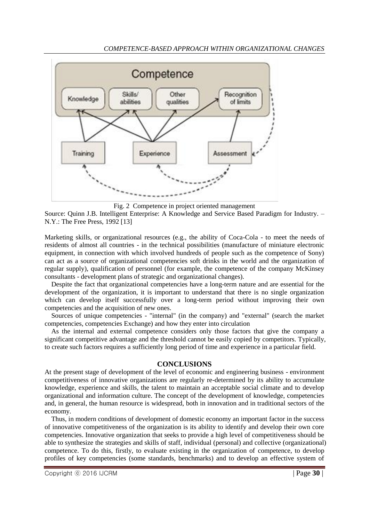

Fig. 2 Competence in project oriented management

Source: Quinn J.B. Intelligent Enterprise: A Knowledge and Service Based Paradigm for Industry. – N.Y.: The Free Press, 1992 [13]

Marketing skills, or organizational resources (e.g., the ability of Coca-Cola - to meet the needs of residents of almost all countries - in the technical possibilities (manufacture of miniature electronic equipment, in connection with which involved hundreds of people such as the competence of Sony) can act as a source of organizational competencies soft drinks in the world and the organization of regular supply), qualification of personnel (for example, the competence of the company McKinsey consultants - development plans of strategic and organizational changes).

Despite the fact that organizational competencies have a long-term nature and are essential for the development of the organization, it is important to understand that there is no single organization which can develop itself successfully over a long-term period without improving their own competencies and the acquisition of new ones.

Sources of unique competencies - "internal" (in the company) and "external" (search the market competencies, competencies Exchange) and how they enter into circulation

As the internal and external competence considers only those factors that give the company a significant competitive advantage and the threshold cannot be easily copied by competitors. Typically, to create such factors requires a sufficiently long period of time and experience in a particular field.

#### **CONCLUSIONS**

At the present stage of development of the level of economic and engineering business - environment competitiveness of innovative organizations are regularly re-determined by its ability to accumulate knowledge, experience and skills, the talent to maintain an acceptable social climate and to develop organizational and information culture. The concept of the development of knowledge, competencies and, in general, the human resource is widespread, both in innovation and in traditional sectors of the economy.

Thus, in modern conditions of development of domestic economy an important factor in the success of innovative competitiveness of the organization is its ability to identify and develop their own core competencies. Innovative organization that seeks to provide a high level of competitiveness should be able to synthesize the strategies and skills of staff, individual (personal) and collective (organizational) competence. To do this, firstly, to evaluate existing in the organization of competence, to develop profiles of key competencies (some standards, benchmarks) and to develop an effective system of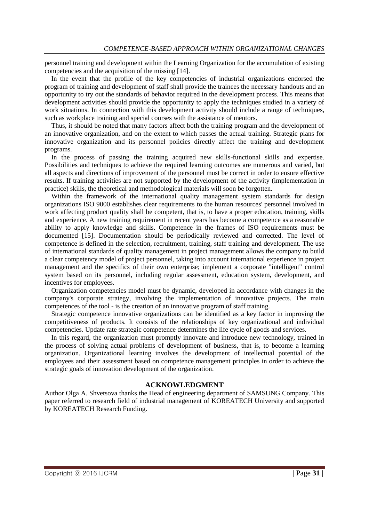personnel training and development within the Learning Organization for the accumulation of existing competencies and the acquisition of the missing [14].

In the event that the profile of the key competencies of industrial organizations endorsed the program of training and development of staff shall provide the trainees the necessary handouts and an opportunity to try out the standards of behavior required in the development process. This means that development activities should provide the opportunity to apply the techniques studied in a variety of work situations. In connection with this development activity should include a range of techniques, such as workplace training and special courses with the assistance of mentors.

Thus, it should be noted that many factors affect both the training program and the development of an innovative organization, and on the extent to which passes the actual training. Strategic plans for innovative organization and its personnel policies directly affect the training and development programs.

In the process of passing the training acquired new skills-functional skills and expertise. Possibilities and techniques to achieve the required learning outcomes are numerous and varied, but all aspects and directions of improvement of the personnel must be correct in order to ensure effective results. If training activities are not supported by the development of the activity (implementation in practice) skills, the theoretical and methodological materials will soon be forgotten.

Within the framework of the international quality management system standards for design organizations ISO 9000 establishes clear requirements to the human resources' personnel involved in work affecting product quality shall be competent, that is, to have a proper education, training, skills and experience. A new training requirement in recent years has become a competence as a reasonable ability to apply knowledge and skills. Competence in the frames of ISO requirements must be documented [15]. Documentation should be periodically reviewed and corrected. The level of competence is defined in the selection, recruitment, training, staff training and development. The use of international standards of quality management in project management allows the company to build a clear competency model of project personnel, taking into account international experience in project management and the specifics of their own enterprise; implement a corporate "intelligent" control system based on its personnel, including regular assessment, education system, development, and incentives for employees.

Organization competencies model must be dynamic, developed in accordance with changes in the company's corporate strategy, involving the implementation of innovative projects. The main competences of the tool - is the creation of an innovative program of staff training.

Strategic competence innovative organizations can be identified as a key factor in improving the competitiveness of products. It consists of the relationships of key organizational and individual competencies. Update rate strategic competence determines the life cycle of goods and services.

In this regard, the organization must promptly innovate and introduce new technology, trained in the process of solving actual problems of development of business, that is, to become a learning organization. Organizational learning involves the development of intellectual potential of the employees and their assessment based on competence management principles in order to achieve the strategic goals of innovation development of the organization.

#### **ACKNOWLEDGMENT**

Author Olga A. Shvetsova thanks the Head of engineering department of SAMSUNG Company. This paper referred to research field of industrial management of KOREATECH University and supported by KOREATECH Research Funding.